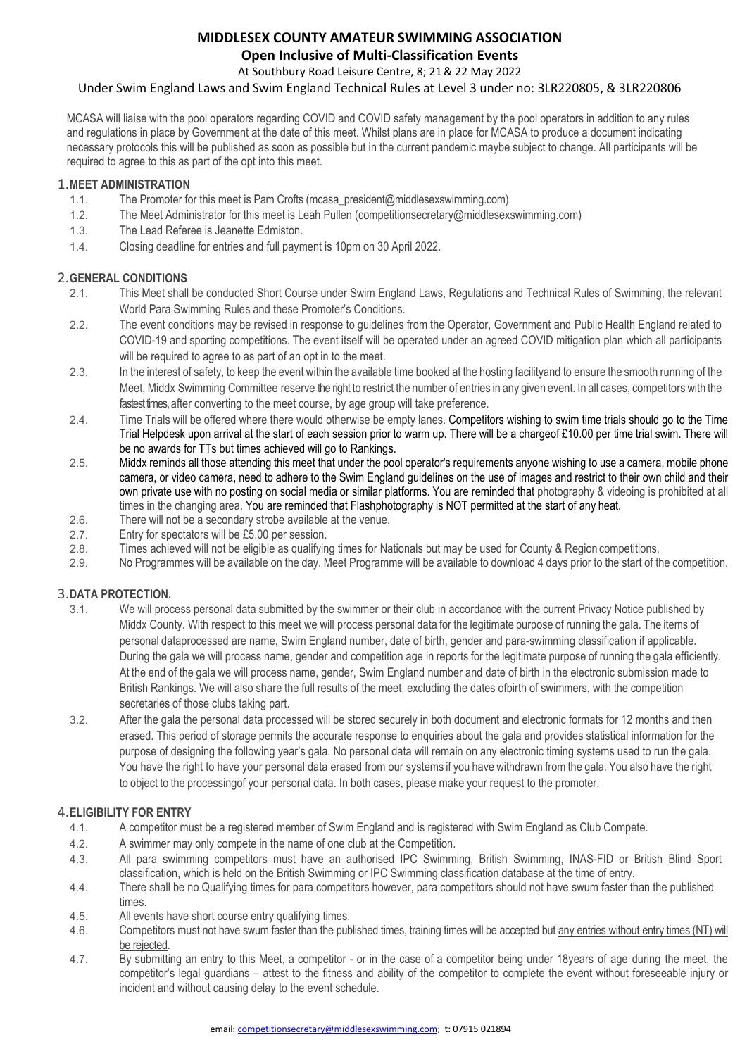#### **MIDDLESEX COUNTY AMATEUR SWIMMING ASSOCIATION Open Inclusive of Multi-Classification Events**

At Southbury Road Leisure Centre, 8; 21& 22 May 2022

#### Under Swim England Laws and Swim England Technical Rules at Level 3 under no: 3LR220805, & 3LR220806

MCASA will liaise with the pool operators regarding COVID and COVID safety management by the pool operators in addition to any rules and regulations in place by Government at the date of this meet. Whilst plans are in place for MCASA to produce a document indicating necessary protocols this will be published as soon as possible but in the current pandemic maybe subject to change. All participants will be required to agree to this as part of the opt into this meet.

# 1.**MEET ADMINISTRATION**

- The Promoter for this meet is Pam Crofts (mcasa\_president@middlesexswimming.com)
- 1.2. The Meet Administrator for this meet is Leah Pullen (competitionsecretary@middlesexswimming.com)
- 1.3. The Lead Referee is Jeanette Edmiston.
- 1.4. Closing deadline for entries and full payment is 10pm on 30 April 2022.

## 2.**GENERAL CONDITIONS**

- 2.1. This Meet shall be conducted Short Course under Swim England Laws, Regulations and Technical Rules of Swimming, the relevant World Para Swimming Rules and these Promoter's Conditions.
- 2.2. The event conditions may be revised in response to guidelines from the Operator, Government and Public Health England related to COVID-19 and sporting competitions. The event itself will be operated under an agreed COVID mitigation plan which all participants will be required to agree to as part of an opt in to the meet.
- 2.3. In the interest of safety, to keep the event within the available time booked at the hosting facilityand to ensure the smooth running of the Meet, Middx Swimming Committee reserve the right to restrict the number of entries in any given event. In all cases, competitors with the fastest times, after converting to the meet course, by age group will take preference.
- 2.4. Time Trials will be offered where there would otherwise be empty lanes. Competitors wishing to swim time trials should go to the Time Trial Helpdesk upon arrival at the start of each session prior to warm up. There will be a chargeof £10.00 per time trial swim. There will be no awards for TTs but times achieved will go to Rankings.
- 2.5. Middx reminds all those attending this meet that under the pool operator's requirements anyone wishing to use a camera, mobile phone camera, or video camera, need to adhere to the Swim England guidelines on the use of images and restrict to their own child and their own private use with no posting on social media or similar platforms. You are reminded that photography & videoing is prohibited at all times in the changing area. You are reminded that Flashphotography is NOT permitted at the start of any heat.
- 2.6. There will not be a secondary strobe available at the venue.
- 2.7. Entry for spectators will be £5.00 per session.
- 2.8. Times achieved will not be eligible as qualifying times for Nationals but may be used for County & Region competitions.
- 2.9. No Programmes will be available on the day. Meet Programme will be available to download 4 days prior to the start of the competition.

### 3.**DATA PROTECTION.**

- We will process personal data submitted by the swimmer or their club in accordance with the current Privacy Notice published by Middx County. With respect to this meet we will process personal data for the legitimate purpose of running the gala. The items of personal dataprocessed are name, Swim England number, date of birth, gender and para-swimming classification if applicable. During the gala we will process name, gender and competition age in reports for the legitimate purpose of running the gala efficiently. At the end of the gala we will process name, gender, Swim England number and date of birth in the electronic submission made to British Rankings. We will also share the full results of the meet, excluding the dates ofbirth of swimmers, with the competition secretaries of those clubs taking part.
- 3.2. After the gala the personal data processed will be stored securely in both document and electronic formats for 12 months and then erased. This period of storage permits the accurate response to enquiries about the gala and provides statistical information for the purpose of designing the following year's gala. No personal data will remain on any electronic timing systems used to run the gala. You have the right to have your personal data erased from our systems if you have withdrawn from the gala. You also have the right to object to the processingof your personal data. In both cases, please make your request to the promoter.

#### 4.**ELIGIBILITY FOR ENTRY**

- 4.1. A competitor must be a registered member of Swim England and is registered with Swim England as Club Compete.
- 4.2. A swimmer may only compete in the name of one club at the Competition.
- 4.3. All para swimming competitors must have an authorised IPC Swimming, British Swimming, INAS-FID or British Blind Sport classification, which is held on the British Swimming or IPC Swimming classification database at the time of entry.
- 4.4. There shall be no Qualifying times for para competitors however, para competitors should not have swum faster than the published times.
- 4.5. All events have short course entry qualifying times.
- 4.6. Competitors must not have swum faster than the published times, training times will be accepted but any entries without entry times (NT) will be rejected.
- 4.7. By submitting an entry to this Meet, a competitor or in the case of a competitor being under 18years of age during the meet, the competitor's legal guardians – attest to the fitness and ability of the competitor to complete the event without foreseeable injury or incident and without causing delay to the event schedule.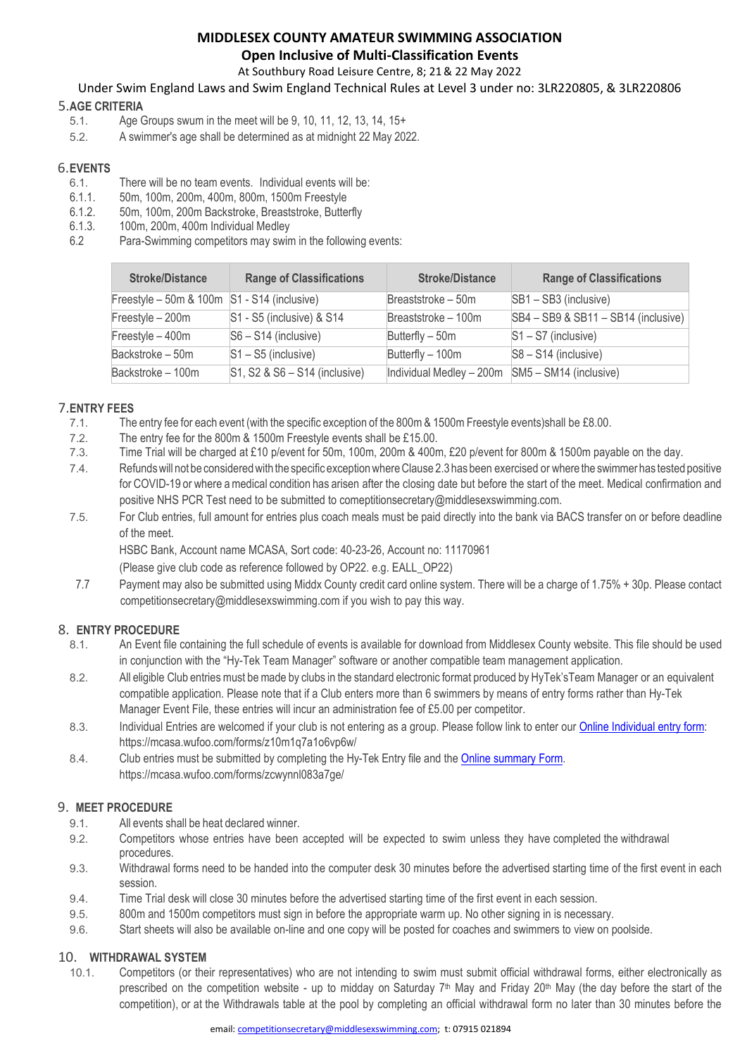#### **MIDDLESEX COUNTY AMATEUR SWIMMING ASSOCIATION Open Inclusive of Multi-Classification Events**

At Southbury Road Leisure Centre, 8; 21& 22 May 2022

Under Swim England Laws and Swim England Technical Rules at Level 3 under no: 3LR220805, & 3LR220806

## 5.**AGE CRITERIA**

- Age Groups swum in the meet will be 9, 10, 11, 12, 13, 14, 15+
- 5.2. A swimmer's age shall be determined as at midnight 22 May 2022.

## 6.**EVENTS**

- 6.1. There will be no team events. Individual events will be:<br>6.1.1. 50m, 100m, 200m, 400m, 800m, 1500m Freestyle
- 6.1.1. 50m, 100m, 200m, 400m, 800m, 1500m Freestyle
- 6.1.2. 50m, 100m, 200m Backstroke, Breaststroke, Butterfly
- 6.1.3. 100m, 200m, 400m Individual Medley
- Para-Swimming competitors may swim in the following events:

| <b>Stroke/Distance</b>                      | <b>Range of Classifications</b>      | <b>Stroke/Distance</b>                             | <b>Range of Classifications</b>     |
|---------------------------------------------|--------------------------------------|----------------------------------------------------|-------------------------------------|
| Freestyle - 50m & 100m S1 - S14 (inclusive) |                                      | Breaststroke - 50m                                 | $SB1 - SB3$ (inclusive)             |
| Freestyle - 200m                            | $\textsf{S}1$ - S5 (inclusive) & S14 | Breaststroke - 100m                                | SB4 - SB9 & SB11 - SB14 (inclusive) |
| Freestyle - 400m                            | $ S6 - S14$ (inclusive)              | Butterfly - 50m                                    | $S1 - S7$ (inclusive)               |
| Backstroke - 50m                            | $S1 - S5$ (inclusive)                | Butterfly - 100m                                   | $S8 - S14$ (inclusive)              |
| Backstroke - 100m                           | S1, S2 & S6 - S14 (inclusive)        | Individual Medley $-200m$ SM5 $-$ SM14 (inclusive) |                                     |

### 7.**ENTRY FEES**

- The entry fee for each event (with the specific exception of the 800m & 1500m Freestyle events)shall be £8.00.
- 7.2. The entry fee for the 800m & 1500m Freestyle events shall be £15.00.
- 7.3. Time Trial will be charged at £10 p/event for 50m, 100m, 200m & 400m, £20 p/event for 800m & 1500m payable on the day.
- 7.4. Refundswill not be consideredwith the specific exceptionwhereClause 2.3 has been exercised or where the swimmer has tested positive for COVID-19 or where a medical condition has arisen after the closing date but before the start of the meet. Medical confirmation and positive NHS PCR Test need to be submitted to comeptitionsecretary@middlesexswimming.com.
- 7.5. For Club entries, full amount for entries plus coach meals must be paid directly into the bank via BACS transfer on or before deadline of the meet.

HSBC Bank, Account name MCASA, Sort code: 40-23-26, Account no: 11170961

(Please give club code as reference followed by OP22. e.g. EALL\_OP22)

7.7 Payment may also be submitted using Middx County credit card online system. There will be a charge of 1.75% + 30p. Please contact competitionsecretary@middlesexswimming.com if you wish to pay this way.

## 8. **ENTRY PROCEDURE**

- 8.1. An Event file containing the full schedule of events is available for download from Middlesex County website. This file should be used in conjunction with the "Hy-Tek Team Manager" software or another compatible team management application.
- 8.2. All eligible Club entries must bemade by clubs in the standard electronic format produced by HyTek'sTeam Manager or an equivalent compatible application. Please note that if a Club enters more than 6 swimmers by means of entry forms rather than Hy-Tek Manager Event File, these entries will incur an administration fee of £5.00 per competitor.
- 8.3. Individual Entries are welcomed if your club is not entering as a group. Please follow link to enter our Online Individual entry form: https://mcasa.wufoo.com/forms/z10m1q7a1o6vp6w/
- 8.4. Club entries must be submitted by completing the Hy-Tek Entry file and the **Online summary Form.** https://mcasa.wufoo.com/forms/zcwynnl083a7ge/

#### 9. **MEET PROCEDURE**

- 9.1. All events shall be heat declared winner.
- 9.2. Competitors whose entries have been accepted will be expected to swim unless they have completed the withdrawal procedures.
- 9.3. Withdrawal forms need to be handed into the computer desk 30 minutes before the advertised starting time of the first event in each session.
- 9.4. Time Trial desk will close 30 minutes before the advertised starting time of the first event in each session.
- 9.5. 800m and 1500m competitors must sign in before the appropriate warm up. No other signing in is necessary.
- 9.6. Start sheets will also be available on-line and one copy will be posted for coaches and swimmers to view on poolside.

#### 10. **WITHDRAWAL SYSTEM**

10.1. Competitors (or their representatives) who are not intending to swim must submit official withdrawal forms, either electronically as prescribed on the competition website - up to midday on Saturday  $7<sup>th</sup>$  May and Friday 20<sup>th</sup> May (the day before the start of the competition), or at the Withdrawals table at the pool by completing an official withdrawal form no later than 30 minutes before the